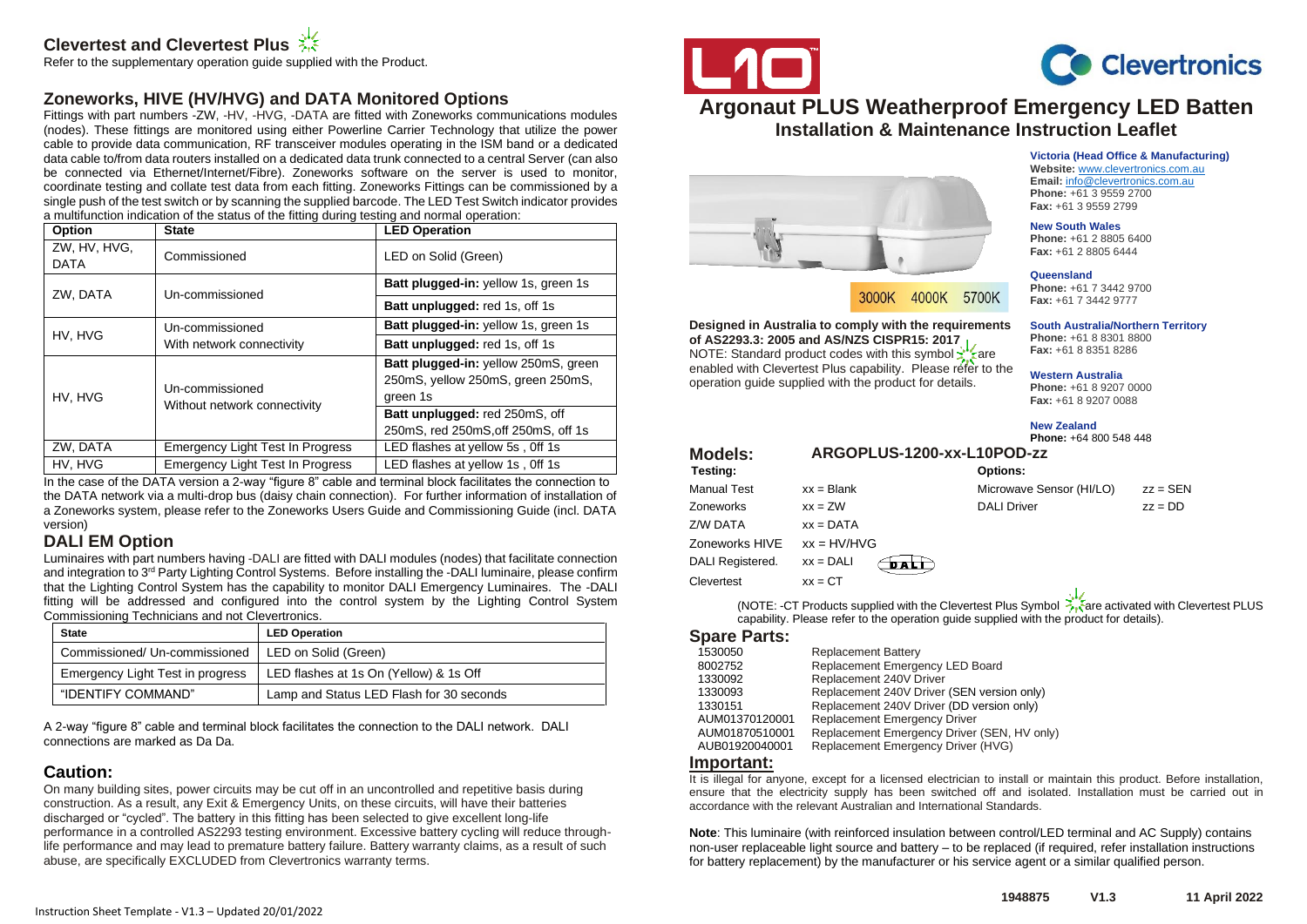# **Clevertest and Clevertest Plus**

Refer to the supplementary operation guide supplied with the Product.

# **Zoneworks, HIVE (HV/HVG) and DATA Monitored Options**

Fittings with part numbers -ZW, -HV, -HVG, -DATA are fitted with Zoneworks communications modules (nodes). These fittings are monitored using either Powerline Carrier Technology that utilize the power cable to provide data communication, RF transceiver modules operating in the ISM band or a dedicated data cable to/from data routers installed on a dedicated data trunk connected to a central Server (can also be connected via Ethernet/Internet/Fibre). Zoneworks software on the server is used to monitor, coordinate testing and collate test data from each fitting. Zoneworks Fittings can be commissioned by a single push of the test switch or by scanning the supplied barcode. The LED Test Switch indicator provides a multifunction indication of the status of the fitting during testing and normal operation:

| Option                      | <b>State</b>                            | <b>LED Operation</b>                                                                  |
|-----------------------------|-----------------------------------------|---------------------------------------------------------------------------------------|
| ZW, HV, HVG,<br><b>DATA</b> | Commissioned                            | LED on Solid (Green)                                                                  |
| ZW, DATA                    | Un-commissioned                         | Batt plugged-in: yellow 1s, green 1s                                                  |
|                             |                                         | <b>Batt unplugged: red 1s, off 1s</b>                                                 |
| HV, HVG                     | Un-commissioned                         | <b>Batt plugged-in: yellow 1s, green 1s</b>                                           |
|                             | With network connectivity               | Batt unplugged: red 1s, off 1s                                                        |
| HV. HVG                     | Un-commissioned                         | Batt plugged-in: yellow 250mS, green<br>250mS, yellow 250mS, green 250mS,<br>green 1s |
|                             | Without network connectivity            | Batt unplugged: red 250mS, off<br>250mS, red 250mS, off 250mS, off 1s                 |
| ZW, DATA                    | <b>Emergency Light Test In Progress</b> | LED flashes at yellow 5s, Off 1s                                                      |
| HV. HVG                     | <b>Emergency Light Test In Progress</b> | LED flashes at yellow 1s, Off 1s                                                      |

In the case of the DATA version a 2-way "figure 8" cable and terminal block facilitates the connection to the DATA network via a multi-drop bus (daisy chain connection). For further information of installation of a Zoneworks system, please refer to the Zoneworks Users Guide and Commissioning Guide (incl. DATA version)

# **DALI EM Option**

Luminaires with part numbers having -DALI are fitted with DALI modules (nodes) that facilitate connection and integration to 3<sup>rd</sup> Party Lighting Control Systems. Before installing the -DALI luminaire, please confirm that the Lighting Control System has the capability to monitor DALI Emergency Luminaires. The -DALI fitting will be addressed and configured into the control system by the Lighting Control System Commissioning Technicians and not Clevertronics.

| <b>State</b>                     | <b>LED Operation</b>                     |  |
|----------------------------------|------------------------------------------|--|
| Commissioned/ Un-commissioned    | LED on Solid (Green)                     |  |
| Emergency Light Test in progress | LED flashes at 1s On (Yellow) & 1s Off   |  |
| "IDENTIFY COMMAND"               | Lamp and Status LED Flash for 30 seconds |  |

A 2-way "figure 8" cable and terminal block facilitates the connection to the DALI network. DALI connections are marked as Da Da.

## **Caution:**

On many building sites, power circuits may be cut off in an uncontrolled and repetitive basis during construction. As a result, any Exit & Emergency Units, on these circuits, will have their batteries discharged or "cycled". The battery in this fitting has been selected to give excellent long-life performance in a controlled AS2293 testing environment. Excessive battery cycling will reduce throughlife performance and may lead to premature battery failure. Battery warranty claims, as a result of such abuse, are specifically EXCLUDED from Clevertronics warranty terms.





**Victoria (Head Office & Manufacturing) Website:** [www.clevertronics.com.au](http://www.clevertronics.com.au/) **Email:** info@clevertronics.com.au **Phone:** +61 3 9559 2700 **Fax:** +61 3 9559 2799 **New South Wales Phone:** +61 2 8805 6400 **Fax:** +61 2 8805 6444

# **Argonaut PLUS Weatherproof Emergency LED Batten Installation & Maintenance Instruction Leaflet**



3000K 4000K 5700K

**Designed in Australia to comply with the requirements of AS2293.3: 2005 and AS/NZS CISPR15: 2017** NOTE: Standard product codes with this symbol xizare enabled with Clevertest Plus capability. Please refer to the operation guide supplied with the product for details.

**Western Australia Phone:** +61 8 9207 0000 **Fax:** +61 8 9207 0088

**Phone:** +61 7 3442 9700 **Fax:** +61 7 3442 9777

**South Australia/Northern Territory Phone:** +61 8 8301 8800 **Fax:** +61 8 8351 8286

**Queensland**

**New Zealand Phone:** +64 800 548 448

| <b>Models:</b><br>Testing: |                | ARGOPLUS-1200-xx-L10POD-zz<br><b>Options:</b>                                                                                                                                 |                              |
|----------------------------|----------------|-------------------------------------------------------------------------------------------------------------------------------------------------------------------------------|------------------------------|
| <b>Manual Test</b>         | $xx = Blank$   | Microwave Sensor (HI/LO)                                                                                                                                                      | $zz =$ SEN                   |
| <b>Zoneworks</b>           | $xx = ZW$      | <b>DALI Driver</b>                                                                                                                                                            | $zz = DD$                    |
| Z/W DATA                   | $xx = DATA$    |                                                                                                                                                                               |                              |
| Zoneworks HIVE             | $xx = H V/HVG$ |                                                                                                                                                                               |                              |
| DALI Registered.           | $xx = DALI$    |                                                                                                                                                                               |                              |
| Clevertest                 | $xx = CT$      |                                                                                                                                                                               |                              |
|                            |                | $(A)$ $\cap$ $\top$ $\Gamma$ . $\cap$ $\top$ $\Gamma$ $\cap$ $\ldots$ $\bot$ , $\bot$ $\ldots$ $\bot$ $\bot$ $\bot$ $\bot$ $\bot$ $\bot$ $\cap$ $\bot$ $\ldots$ $\bot$ $\bot$ | attracted and the Charles of |

(NOTE: -CT Products supplied with the Clevertest Plus Symbol  $\frac{1}{\sqrt{2}}$  are activated with Clevertest PLUS capability. Please refer to the operation guide supplied with the product for details).

#### **Spare Parts:**

| 1530050        | <b>Replacement Battery</b>                  |
|----------------|---------------------------------------------|
| 8002752        | Replacement Emergency LED Board             |
| 1330092        | Replacement 240V Driver                     |
| 1330093        | Replacement 240V Driver (SEN version only)  |
| 1330151        | Replacement 240V Driver (DD version only)   |
| AUM01370120001 | Replacement Emergency Driver                |
| AUM01870510001 | Replacement Emergency Driver (SEN, HV only) |
| AUB01920040001 | Replacement Emergency Driver (HVG)          |
|                |                                             |

#### **Important:**

It is illegal for anyone, except for a licensed electrician to install or maintain this product. Before installation, ensure that the electricity supply has been switched off and isolated. Installation must be carried out in accordance with the relevant Australian and International Standards.

**Note**: This luminaire (with reinforced insulation between control/LED terminal and AC Supply) contains non-user replaceable light source and battery – to be replaced (if required, refer installation instructions for battery replacement) by the manufacturer or his service agent or a similar qualified person.

Instruction Sheet Template - V1.3 – Updated 20/01/2022